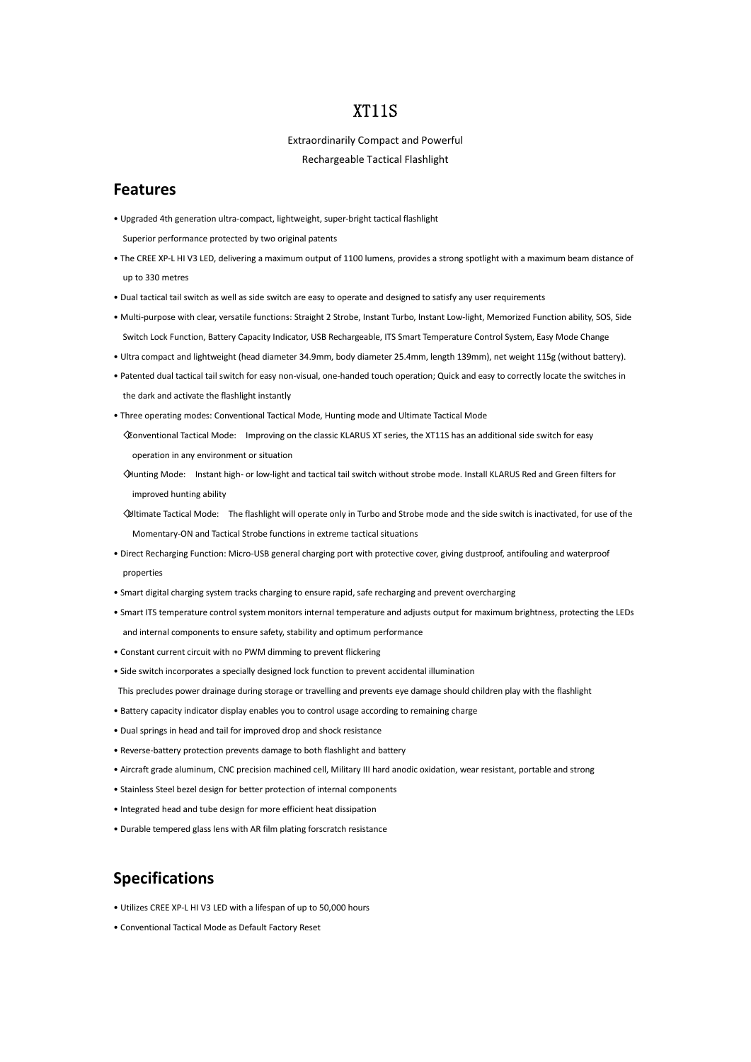## XT11S

Extraordinarily Compact and Powerful

Rechargeable Tactical Flashlight

### **Features**

- Upgraded 4th generation ultra-compact, lightweight, super-bright tactical flashlight
	- Superior performance protected by two original patents
- The CREE XP-L HI V3 LED, delivering a maximum output of 1100 lumens, provides a strong spotlight with a maximum beam distance of up to 330 metres
- Dual tactical tail switch as well as side switch are easy to operate and designed to satisfy any user requirements
- Multi-purpose with clear, versatile functions: Straight 2 Strobe, Instant Turbo, Instant Low-light, Memorized Function ability, SOS, Side Switch Lock Function, Battery Capacity Indicator, USB Rechargeable, ITS Smart Temperature Control System, Easy Mode Change
- Ultra compact and lightweight (head diameter 34.9mm, body diameter 25.4mm, length 139mm), net weight 115g (without battery).
- Patented dual tactical tail switch for easy non-visual, one-handed touch operation; Quick and easy to correctly locate the switches in the dark and activate the flashlight instantly
- Three operating modes: Conventional Tactical Mode, Hunting mode and Ultimate Tactical Mode
- ◇Conventional Tactical Mode: Improving on the classic KLARUS XT series, the XT11S has an additional side switch for easy operation in any environment or situation
- ◇Hunting Mode: Instant high- or low-light and tactical tail switch without strobe mode. Install KLARUS Red and Green filters for improved hunting ability
- ◇Ultimate Tactical Mode: The flashlight will operate only in Turbo and Strobe mode and the side switch is inactivated, for use of the Momentary-ON and Tactical Strobe functions in extreme tactical situations
- Direct Recharging Function: Micro-USB general charging port with protective cover, giving dustproof, antifouling and waterproof properties
- Smart digital charging system tracks charging to ensure rapid, safe recharging and prevent overcharging
- Smart ITS temperature control system monitors internal temperature and adjusts output for maximum brightness, protecting the LEDs and internal components to ensure safety, stability and optimum performance
- Constant current circuit with no PWM dimming to prevent flickering
- Side switch incorporates a specially designed lock function to prevent accidental illumination

This precludes power drainage during storage or travelling and prevents eye damage should children play with the flashlight

- Battery capacity indicator display enables you to control usage according to remaining charge
- Dual springs in head and tail for improved drop and shock resistance
- Reverse-battery protection prevents damage to both flashlight and battery
- Aircraft grade aluminum, CNC precision machined cell, Military III hard anodic oxidation, wear resistant, portable and strong
- Stainless Steel bezel design for better protection of internal components
- Integrated head and tube design for more efficient heat dissipation
- Durable tempered glass lens with AR film plating forscratch resistance

### **Specifications**

- Utilizes CREE XP-L HI V3 LED with a lifespan of up to 50,000 hours
- Conventional Tactical Mode as Default Factory Reset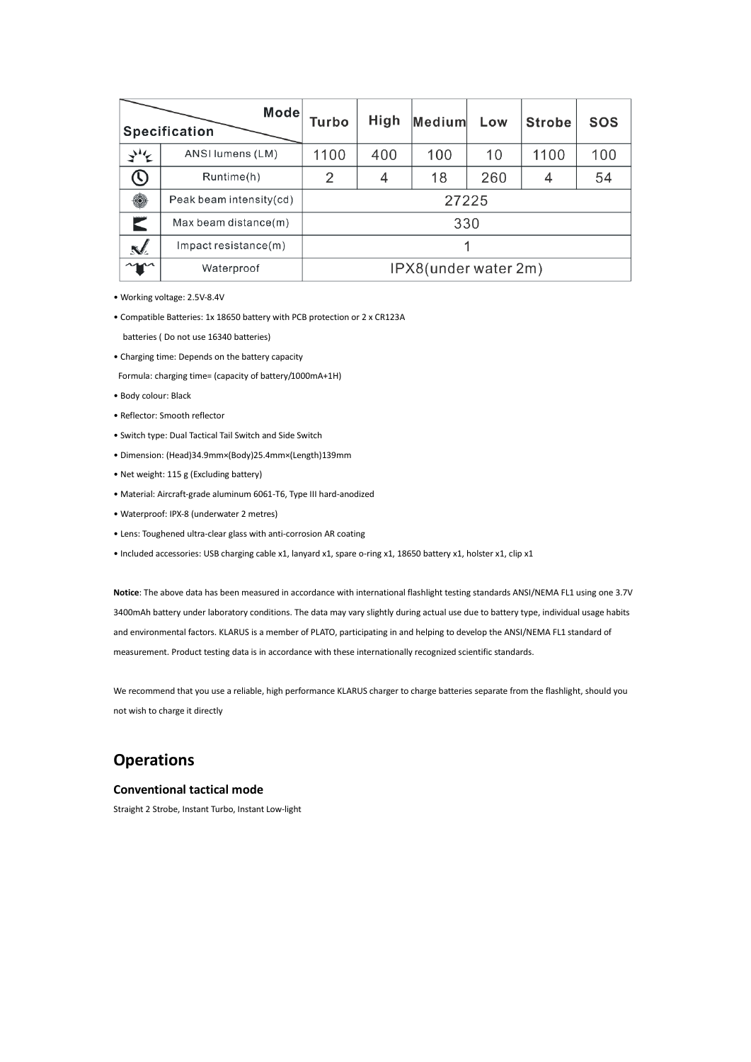| Mode<br><b>Specification</b> |                            | Turbo                | High | Medium | Low | <b>Strobe</b> | <b>SOS</b> |
|------------------------------|----------------------------|----------------------|------|--------|-----|---------------|------------|
| ざそ                           | ANSI lumens (LM)           | 1100                 | 400  | 100    | 10  | 1100          | 100        |
| U)                           | Runtime(h)                 | 2                    | 4    | 18     | 260 | 4             | 54         |
| $\circledcirc$               | Peak beam intensity(cd)    | 27225                |      |        |     |               |            |
|                              | Max beam distance(m)       | 330                  |      |        |     |               |            |
| $\mathbf{N}$                 | $Im$ pact resistance $(m)$ |                      |      |        |     |               |            |
| $\gamma$                     | Waterproof                 | IPX8(under water 2m) |      |        |     |               |            |

- Working voltage: 2.5V-8.4V
- Compatible Batteries: 1x 18650 battery with PCB protection or 2 x CR123A
- batteries ( Do not use 16340 batteries)
- Charging time: Depends on the battery capacity
- Formula: charging time= (capacity of battery/1000mA+1H)
- Body colour: Black
- Reflector: Smooth reflector
- Switch type: Dual Tactical Tail Switch and Side Switch
- Dimension: (Head)34.9mm×(Body)25.4mm×(Length)139mm
- Net weight: 115 g (Excluding battery)
- Material: Aircraft-grade aluminum 6061-T6, Type III hard-anodized
- Waterproof: IPX-8 (underwater 2 metres)
- Lens: Toughened ultra-clear glass with anti-corrosion AR coating
- Included accessories: USB charging cable x1, lanyard x1, spare o-ring x1, 18650 battery x1, holster x1, clip x1

**Notice**: The above data has been measured in accordance with international flashlight testing standards ANSI/NEMA FL1 using one 3.7V 3400mAh battery under laboratory conditions. The data may vary slightly during actual use due to battery type, individual usage habits and environmental factors. KLARUS is a member of PLATO, participating in and helping to develop the ANSI/NEMA FL1 standard of measurement. Product testing data is in accordance with these internationally recognized scientific standards.

We recommend that you use a reliable, high performance KLARUS charger to charge batteries separate from the flashlight, should you not wish to charge it directly

# **Operations**

#### **Conventional tactical mode**

Straight 2 Strobe, Instant Turbo, Instant Low-light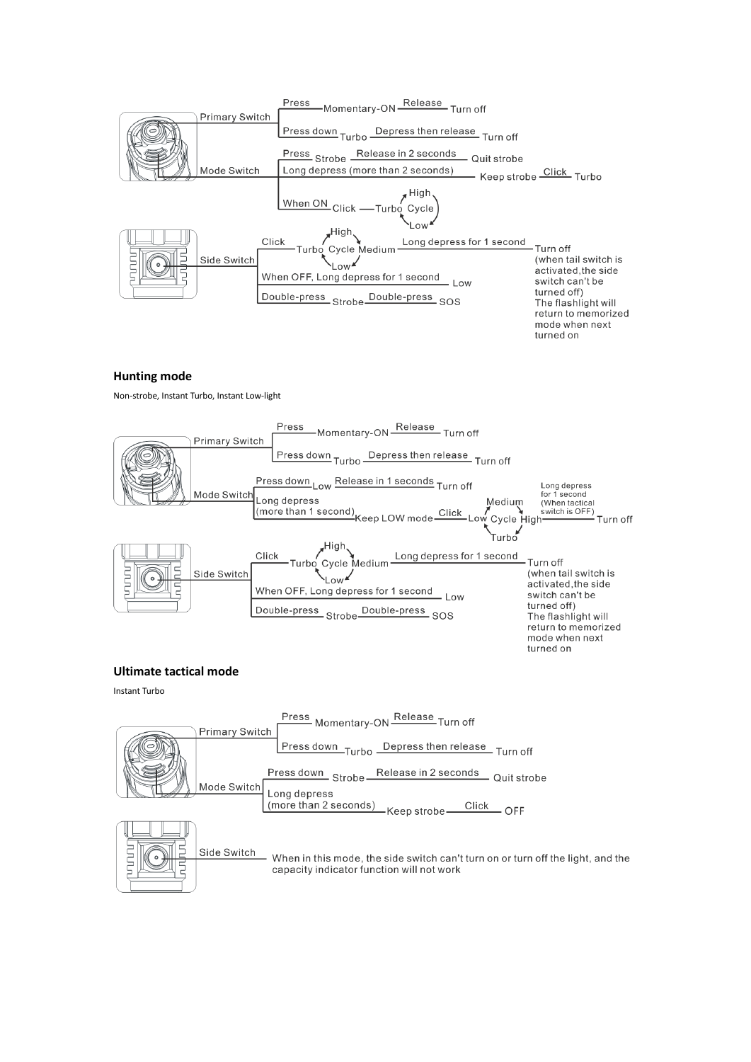

### **Hunting mode**

Non-strobe, Instant Turbo, Instant Low-light



#### **Ultimate tactical mode**

Instant Turbo

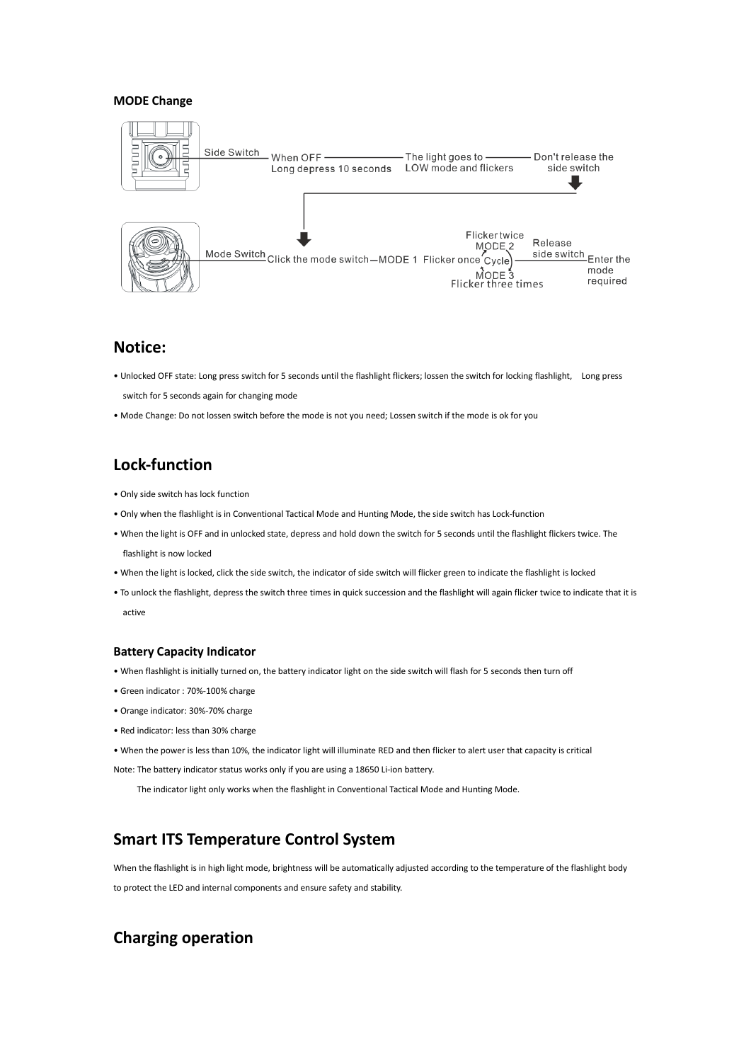### **MODE Change**



### **Notice:**

- Unlocked OFF state: Long press switch for 5 seconds until the flashlight flickers; lossen the switch for locking flashlight, Long press switch for 5 seconds again for changing mode
- Mode Change: Do not lossen switch before the mode is not you need; Lossen switch if the mode is ok for you

# **Lock-function**

- Only side switch has lock function
- Only when the flashlight is in Conventional Tactical Mode and Hunting Mode, the side switch has Lock-function
- When the light is OFF and in unlocked state, depress and hold down the switch for 5 seconds until the flashlight flickers twice. The flashlight is now locked
- When the light is locked, click the side switch, the indicator of side switch will flicker green to indicate the flashlight is locked
- To unlock the flashlight, depress the switch three times in quick succession and the flashlight will again flicker twice to indicate that it is active

#### **Battery Capacity Indicator**

- When flashlight is initially turned on, the battery indicator light on the side switch will flash for 5 seconds then turn off
- Green indicator : 70%-100% charge
- Orange indicator: 30%-70% charge
- Red indicator: less than 30% charge
- When the power is less than 10%, the indicator light will illuminate RED and then flicker to alert user that capacity is critical

Note: The battery indicator status works only if you are using a 18650 Li-ion battery.

The indicator light only works when the flashlight in Conventional Tactical Mode and Hunting Mode.

## **Smart ITS Temperature Control System**

When the flashlight is in high light mode, brightness will be automatically adjusted according to the temperature of the flashlight body

to protect the LED and internal components and ensure safety and stability.

## **Charging operation**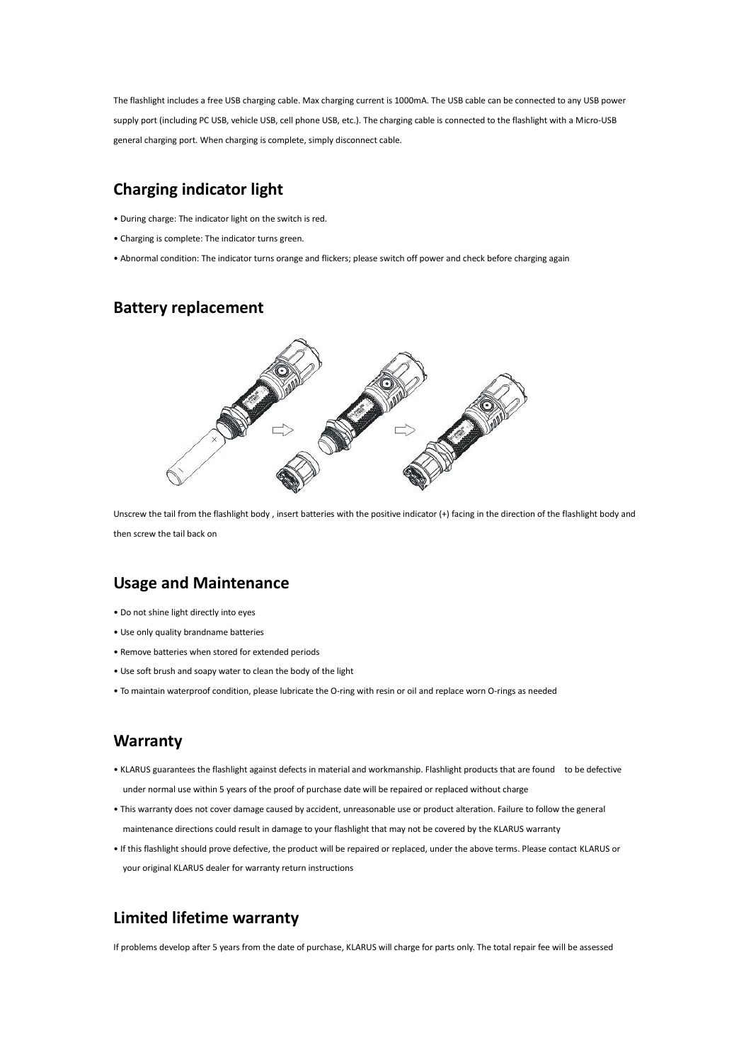The flashlight includes a free USB charging cable. Max charging current is 1000mA. The USB cable can be connected to any USB power supply port (including PC USB, vehicle USB, cell phone USB, etc.). The charging cable is connected to the flashlight with a Micro-USB general charging port. When charging is complete, simply disconnect cable.

# **Charging indicator light**

- During charge: The indicator light on the switch is red.
- Charging is complete: The indicator turns green.
- Abnormal condition: The indicator turns orange and flickers; please switch off power and check before charging again

### **Battery replacement**



Unscrew the tail from the flashlight body , insert batteries with the positive indicator (+) facing in the direction of the flashlight body and then screw the tail back on

### **Usage and Maintenance**

- Do not shine light directly into eyes
- Use only quality brandname batteries
- Remove batteries when stored for extended periods
- Use soft brush and soapy water to clean the body of the light
- To maintain waterproof condition, please lubricate the O-ring with resin or oil and replace worn O-rings as needed

### **Warranty**

- KLARUS guarantees the flashlight against defects in material and workmanship. Flashlight products that are found to be defective under normal use within 5 years of the proof of purchase date will be repaired or replaced without charge
- This warranty does not cover damage caused by accident, unreasonable use or product alteration. Failure to follow the general maintenance directions could result in damage to your flashlight that may not be covered by the KLARUS warranty
- If this flashlight should prove defective, the product will be repaired or replaced, under the above terms. Please contact KLARUS or your original KLARUS dealer for warranty return instructions

## **Limited lifetime warranty**

If problems develop after 5 years from the date of purchase, KLARUS will charge for parts only. The total repair fee will be assessed